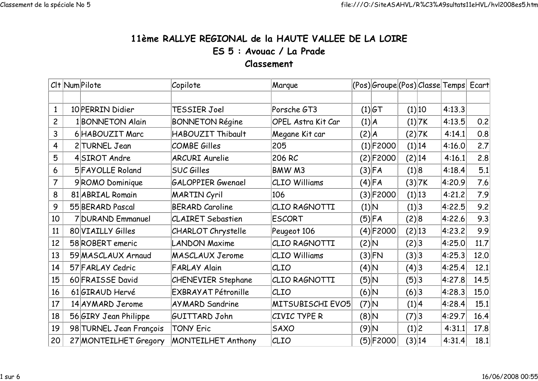## 11ème RALLYE REGIONAL de la HAUTE VALLEE DE LA LOIREES 5 : Avouac / La PradeClassement

|                | CIt Num Pilote          | Copilote                   | Marque                    |       | (Pos) Groupe (Pos) Classe Temps Ecart |        |        |        |      |
|----------------|-------------------------|----------------------------|---------------------------|-------|---------------------------------------|--------|--------|--------|------|
|                |                         |                            |                           |       |                                       |        |        |        |      |
| $\mathbf{1}$   | 10 PERRIN Didier        | TESSIER Joel               | Porsche GT3               |       | $(1) $ GT                             |        | (1) 10 | 4:13.3 |      |
| $\overline{c}$ | 1 BONNETON Alain        | <b>BONNETON Régine</b>     | <b>OPEL Astra Kit Car</b> |       | (1) A                                 |        | (1) 7K | 4:13.5 | 0.2  |
| 3              | 6 HABOUZIT Marc         | HABOUZIT Thibault          | Megane Kit car            | (2) A |                                       |        | (2) 7K | 4:14.1 | 0.8  |
| 4              | 2 TURNEL Jean           | <b>COMBE Gilles</b>        | 205                       |       | $(1)$ F2000                           |        | (1) 14 | 4:16.0 | 2.7  |
| 5              | 4SIROT Andre            | <b>ARCURI Aurelie</b>      | 206 RC                    |       | (2)F2000                              | (2) 14 |        | 4:16.1 | 2.8  |
| 6              | 5 FAYOLLE Roland        | <b>SUC Gilles</b>          | BMW M3                    |       | (3) FA                                | (1) 8  |        | 4:18.4 | 5.1  |
| 7              | 9ROMO Dominique         | <b>GALOPPIER Gwenael</b>   | CLIO Williams             |       | (4) FA                                |        | (3) 7K | 4:20.9 | 7.6  |
| 8              | 81 ABRIAL Romain        | <b>MARTIN Cyril</b>        | 106                       |       | $(3) $ F2000                          |        | (1) 13 | 4:21.2 | 7.9  |
| 9              | 55 BERARD Pascal        | <b>BERARD Caroline</b>     | CLIO RAGNOTTI             |       | (1) N                                 | (1) 3  |        | 4:22.5 | 9.2  |
| 10             | 7 DURAND Emmanuel       | <b>CLAIRET Sebastien</b>   | <b>ESCORT</b>             |       | (5) FA                                | (2) 8  |        | 4:22.6 | 9.3  |
| 11             | 80 VIAILLY Gilles       | <b>CHARLOT</b> Chrystelle  | Peugeot 106               |       | $(4)$ F2000                           | (2) 13 |        | 4:23.2 | 9.9  |
| 12             | 58 ROBERT emeric        | <b>LANDON Maxime</b>       | CLIO RAGNOTTI             |       | (2) N                                 | (2) 3  |        | 4:25.0 | 11.7 |
| 13             | 59 MASCLAUX Arnaud      | <b>MASCLAUX Jerome</b>     | <b>CLIO Williams</b>      |       | (3) FN                                | (3) 3  |        | 4:25.3 | 12.0 |
| 14             | 57 FARLAY Cedric        | <b>FARLAY Alain</b>        | CLIO                      |       | (4) N                                 | (4) 3  |        | 4:25.4 | 12.1 |
| 15             | 60 FRAISSE David        | <b>CHENEVIER Stephane</b>  | CLIO RAGNOTTI             |       | (5)N                                  | (5) 3  |        | 4:27.8 | 14.5 |
| 16             | 61 GIRAUD Hervé         | <b>EXBRAYAT Pétronille</b> | CLIO                      |       | $ A $ (6)                             | (6)3   |        | 4:28.3 | 15.0 |
| 17             | 14 AY MARD Jerome       | <b>AYMARD Sandrine</b>     | MITSUBISCHI EVO5          |       | $(7)$ N                               | (1) 4  |        | 4:28.4 | 15.1 |
| 18             | 56 GIRY Jean Philippe   | GUITTARD John              | CIVIC TYPE R              |       | A (8)                                 | (7) 3  |        | 4:29.7 | 16.4 |
| 19             | 98 TURNEL Jean François | <b>TONY Eric</b>           | <b>SAXO</b>               |       | (9)N                                  | (1) 2  |        | 4:31.1 | 17.8 |
| 20             | 27 MONTEILHET Gregory   | <b>MONTEILHET Anthony</b>  | CLIO                      |       | (5)F2000                              |        | (3) 14 | 4:31.4 | 18.1 |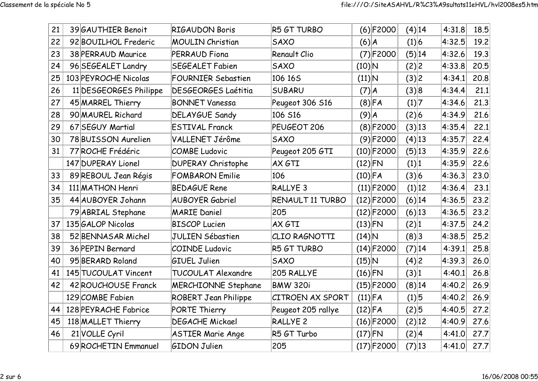| 21 | 39 GAUTHIER Benoit     | <b>RIGAUDON Boris</b>       | R5 GT TURBO             | $(6)$ F2000   | $(4)$ 14 | 4:31.8 | 18.5 |
|----|------------------------|-----------------------------|-------------------------|---------------|----------|--------|------|
|    |                        |                             |                         |               |          |        |      |
| 22 | 92 BOUILHOL Frederic   | <b>MOULIN Christian</b>     | <b>SAXO</b>             | (6) A         | (1) 6    | 4:32.5 | 19.2 |
| 23 | 38 PERRAUD Maurice     | <b>PERRAUD Fiona</b>        | Renault Clio            | $(7)$ F2000   | (5) 14   | 4:32.6 | 19.3 |
| 24 | 96 SEGEALET Landry     | <b>SEGEALET Fabien</b>      | <b>SAXO</b>             | $(10)$ N      | (2) 2    | 4:33.8 | 20.5 |
| 25 | 103 PEYROCHE Nicolas   | <b>FOURNIER Sebastien</b>   | 106 165                 | $(11)\vert N$ | (3) 2    | 4:34.1 | 20.8 |
| 26 | 11 DESGEORGES Philippe | <b>DESGEORGES Laétitia</b>  | <b>SUBARU</b>           | $(7)$ $A$     | (3) 8    | 4:34.4 | 21.1 |
| 27 | 45 MARREL Thierry      | <b>BONNET Vanessa</b>       | Peugeot 306 S16         | $(8)$ FA      | (1) 7    | 4:34.6 | 21.3 |
| 28 | 90 MAUREL Richard      | <b>DELAYGUE Sandy</b>       | 106 S16                 | $(9)$ $A$     | (2) 6    | 4:34.9 | 21.6 |
| 29 | 67 SEGUY Martial       | <b>ESTIVAL Franck</b>       | PEUGEOT 206             | (8) F2000     | (3) 13   | 4:35.4 | 22.1 |
| 30 | 78 BUISSON Aurelien    | VALLENET Jérôme             | <b>SAXO</b>             | $(9)$ F2000   | $(4)$ 13 | 4:35.7 | 22.4 |
| 31 | 77 ROCHE Frédéric      | <b>COMBE Ludovic</b>        | Peugeot 205 GTI         | $(10)$ F2000  | (5) 13   | 4:35.9 | 22.6 |
|    | 147 DUPERAY Lionel     | <b>DUPERAY Christophe</b>   | AX GTI                  | $(12)$ FN     | (1) 1    | 4:35.9 | 22.6 |
| 33 | 89 REBOUL Jean Régis   | <b>FOMBARON Emilie</b>      | 106                     | $(10)$ FA     | (3) 6    | 4:36.3 | 23.0 |
| 34 | 111 MATHON Henri       | <b>BEDAGUE Rene</b>         | RALLYE <sub>3</sub>     | $(11)$ F2000  | (1) 12   | 4:36.4 | 23.1 |
| 35 | 44 AUBOYER Johann      | <b>AUBOYER Gabriel</b>      | RENAULT 11 TURBO        | $(12)$ F2000  | (6) 14   | 4:36.5 | 23.2 |
|    | 79 ABRIAL Stephane     | <b>MARIE Daniel</b>         | 205                     | $(12)$ F2000  | $(6)$ 13 | 4:36.5 | 23.2 |
| 37 | 135 GALOP Nicolas      | <b>BISCOP Lucien</b>        | AX GTI                  | $(13)$ FN     | (2) 1    | 4:37.5 | 24.2 |
| 38 | 52 BENNASAR Michel     | <b>JULIEN Sébastien</b>     | CLIO RAGNOTTI           | $(14)$ N      | (8) 3    | 4:38.5 | 25.2 |
| 39 | 36 PEPIN Bernard       | <b>COINDE Ludovic</b>       | R5 GT TURBO             | $(14)$ F2000  | (7) 14   | 4:39.1 | 25.8 |
| 40 | 95 BERARD Roland       | <b>GIUEL Julien</b>         | <b>SAXO</b>             | $(15)$ N      | (4) 2    | 4:39.3 | 26.0 |
| 41 | 145 TUCOULAT Vincent   | <b>TUCOULAT Alexandre</b>   | 205 RALLYE              | $(16)$ FN     | (3) 1    | 4:40.1 | 26.8 |
| 42 | 42 ROUCHOUSE Franck    | <b>MERCHIONNE Stephane</b>  | <b>BMW 320i</b>         | $(15)$ F2000  | (8) 14   | 4:40.2 | 26.9 |
|    | 129 COMBE Fabien       | <b>ROBERT Jean Philippe</b> | <b>CITROEN AX SPORT</b> | $(11)$ FA     | (1) 5    | 4:40.2 | 26.9 |
| 44 | 128 PEYRACHE Fabrice   | <b>PORTE Thierry</b>        | Peugeot 205 rallye      | $(12)$ FA     | (2) 5    | 4:40.5 | 27.2 |
| 45 | 118 MALLET Thierry     | <b>DEGACHE Mickael</b>      | <b>RALLYE 2</b>         | $(16)$ F2000  | (2) 12   | 4:40.9 | 27.6 |
| 46 | 21 VOLLE Cyril         | <b>ASTIER Marie Ange</b>    | R5 GT Turbo             | $(17)$ FN     | (2) 4    | 4:41.0 | 27.7 |
|    | 69 ROCHETIN Emmanuel   | <b>GIDON Julien</b>         | 205                     | $(17)$ F2000  | (7) 13   | 4:41.0 | 27.7 |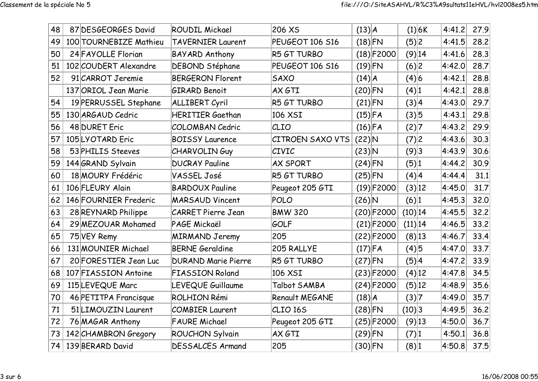| 48 | 87 DESGEORGES David    | <b>ROUDIL Mickael</b>      | 206 XS                  | $(13)$ $A$   | (1) 6K   | 4:41.2 | 27.9 |
|----|------------------------|----------------------------|-------------------------|--------------|----------|--------|------|
| 49 | 100 TOURNEBIZE Mathieu | <b>TAVERNIER Laurent</b>   | PEUGEOT 106 S16         | $(18)$ FN    | (5) 2    | 4:41.5 | 28.2 |
| 50 | 24 FAYOLLE Florian     | <b>BAYARD Anthony</b>      | R5 GT TURBO             | $(18)$ F2000 | (9) 14   | 4:41.6 | 28.3 |
| 51 | 102 COUDERT Alexandre  | DEBOND Stéphane            | PEUGEOT 106 S16         | $(19)$ FN    | (6) 2    | 4:42.0 | 28.7 |
| 52 | 91 CARROT Jeremie      | <b>BERGERON Florent</b>    | <b>SAXO</b>             | (14) A       | (4) 6    | 4:42.1 | 28.8 |
|    | 137 ORIOL Jean Marie   | <b>GIRARD Benoit</b>       | AX GTI                  | $(20)$ FN    | (4) 1    | 4:42.1 | 28.8 |
| 54 | 19 PERRUSSEL Stephane  | <b>ALLIBERT Cyril</b>      | R5 GT TURBO             | $(21)$ FN    | (3) 4    | 4:43.0 | 29.7 |
| 55 | 130 ARGAUD Cedric      | <b>HERITIER Gaethan</b>    | 106 XSI                 | $(15)$ FA    | (3) 5    | 4:43.1 | 29.8 |
| 56 | 48 DURET Eric          | <b>COLOMBAN Cedric</b>     | CLIO                    | $(16)$ FA    | (2) 7    | 4:43.2 | 29.9 |
| 57 | 105LYOTARD Eric        | <b>BOISSY Laurence</b>     | <b>CITROEN SAXO VTS</b> | $(22)$ N     | (7) 2    | 4:43.6 | 30.3 |
| 58 | 53 PHILIS Steeves      | <b>CHARVOLINGuy</b>        | CIVIC                   | $(23)$ N     | (9)3     | 4:43.9 | 30.6 |
| 59 | 144 GRAND Sylvain      | <b>DUCRAY Pauline</b>      | <b>AX SPORT</b>         | $(24)$ FN    | (5) 1    | 4:44.2 | 30.9 |
| 60 | 18 MOURY Frédéric      | VASSEL José                | R5 GT TURBO             | $(25)$ FN    | (4) 4    | 4:44.4 | 31.1 |
| 61 | 106 FLEURY Alain       | <b>BARDOUX Pauline</b>     | Peugeot 205 GTI         | $(19)$ F2000 | (3) 12   | 4:45.0 | 31.7 |
| 62 | 146 FOURNIER Frederic  | <b>MARSAUD Vincent</b>     | POLO                    | $(26)$ N     | (6) 1    | 4:45.3 | 32.0 |
| 63 | 28 REYNARD Philippe    | <b>CARRET Pierre Jean</b>  | <b>BMW 320</b>          | $(20)$ F2000 | (10) 14  | 4:45.5 | 32.2 |
| 64 | 29 MEZOUAR Mohamed     | PAGE Mickaël               | GOLF                    | $(21)$ F2000 | (11) 14  | 4:46.5 | 33.2 |
| 65 | 75 VEY Remy            | <b>MIRMAND Jeremy</b>      | 205                     | $(22)$ F2000 | (8) 13   | 4:46.7 | 33.4 |
| 66 | 131 MOUNIER Michael    | <b>BERNE Geraldine</b>     | 205 RALLYE              | $(17)$ FA    | (4) 5    | 4:47.0 | 33.7 |
| 67 | 20 FORESTIER Jean Luc  | <b>DURAND Marie Pierre</b> | R5 GT TURBO             | $(27)$ FN    | (5) 4    | 4:47.2 | 33.9 |
| 68 | 107 FIASSION Antoine   | <b>FIASSION Roland</b>     | 106 XSI                 | $(23)$ F2000 | $(4)$ 12 | 4:47.8 | 34.5 |
| 69 | 115LEVEQUE Marc        | LEVEQUE Guillaume          | Talbot SAMBA            | $(24)$ F2000 | (5) 12   | 4:48.9 | 35.6 |
| 70 | 46 PETITPA Francisque  | ROLHION Rémi               | Renault MEGANE          | (18) A       | (3) 7    | 4:49.0 | 35.7 |
| 71 | 51 LIMOUZIN Laurent    | <b>COMBIER Laurent</b>     | CLIO <sub>165</sub>     | $(28)$ FN    | (10) 3   | 4:49.5 | 36.2 |
| 72 | 76 MAGAR Anthony       | <b>FAURE Michael</b>       | Peugeot 205 GTI         | $(25)$ F2000 | $(9)$ 13 | 4:50.0 | 36.7 |
| 73 | 142 CHAMBRON Gregory   | <b>ROUCHON Sylvain</b>     | AX GTI                  | $(29)$ FN    | (7) 1    | 4:50.1 | 36.8 |
| 74 | 139 BERARD David       | <b>DESSALCES Armand</b>    | 205                     | $(30)$ FN    | (8) 1    | 4:50.8 | 37.5 |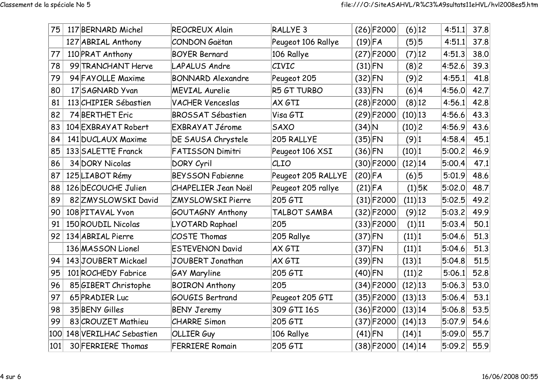| 75  | 117 BERNARD Michel     | <b>REOCREUX Alain</b>      | RALLYE <sub>3</sub> | $(26)$ F2000 | (6) 12     | 4:51.1 | 37.8 |
|-----|------------------------|----------------------------|---------------------|--------------|------------|--------|------|
|     | 127 ABRIAL Anthony     | CONDON Gaëtan              | Peugeot 106 Rallye  | $(19)$ FA    | (5) 5      | 4:51.1 | 37.8 |
| 77  | 110 PRAT Anthony       | <b>BOYER Bernard</b>       | 106 Rallye          | $(27)$ F2000 | (7) 12     | 4:51.3 | 38.0 |
| 78  | 99 TRANCHANT Herve     | <b>LAPALUS Andre</b>       | <b>CIVIC</b>        | $(31)$ FN    | (8)2       | 4:52.6 | 39.3 |
| 79  | 94 FAYOLLE Maxime      | <b>BONNARD Alexandre</b>   | Peugeot 205         | $(32)$ FN    | (9)2       | 4:55.1 | 41.8 |
| 80  | 17 SAGNARD Yvan        | <b>MEVIAL Aurelie</b>      | R5 GT TURBO         | $(33)$ FN    | (6) 4      | 4:56.0 | 42.7 |
| 81  | 113 CHIPIER Sébastien  | <b>VACHER Venceslas</b>    | AX GTI              | $(28)$ F2000 | $(8)$ 12   | 4:56.1 | 42.8 |
| 82  | 74 BERTHET Eric        | <b>BROSSAT Sébastien</b>   | Visa GTI            | $(29)$ F2000 | $(10)$ 13  | 4:56.6 | 43.3 |
| 83  | 104 EXBRAYAT Robert    | EXBRAYAT Jérome            | <b>SAXO</b>         | $(34)$ N     | (10) 2     | 4:56.9 | 43.6 |
| 84  | 141 DUCLAUX Maxime     | DE SAUSA Chrystele         | 205 RALLYE          | $(35)$ FN    | (9) 1      | 4:58.4 | 45.1 |
| 85  | 133 SALETTE Franck     | <b>FATISSON Dimitri</b>    | Peugeot 106 XSI     | $(36)$ FN    | (10) 1     | 5:00.2 | 46.9 |
| 86  | 34 DORY Nicolas        | DORY Cyril                 | CLIO                | $(30)$ F2000 | (12) 14    | 5:00.4 | 47.1 |
| 87  | 125 LIABOT Rémy        | <b>BEYSSON Fabienne</b>    | Peugeot 205 RALLYE  | $(20)$ FA    | (6) 5      | 5:01.9 | 48.6 |
| 88  | 126 DECOUCHE Julien    | <b>CHAPELIER Jean Noël</b> | Peugeot 205 rallye  | $(21)$ FA    | $(1)$ 5K   | 5:02.0 | 48.7 |
| 89  | 82 ZMY SLOWSKI David   | ZMYSLOWSKI Pierre          | 205 GTI             | $(31)$ F2000 | (11) 13    | 5:02.5 | 49.2 |
| 90  | 108 PITAVAL Yvon       | <b>GOUTAGNY Anthony</b>    | TALBOT SAMBA        | $(32)$ F2000 | $(9)$ 12   | 5:03.2 | 49.9 |
| 91  | 150 ROUDIL Nicolas     | LYOTARD Raphael            | 205                 | $(33)$ F2000 | (1) 11     | 5:03.4 | 50.1 |
| 92  | 134 ABRIAL Pierre      | <b>COSTE Thomas</b>        | 205 Rallye          | $(37)$ FN    | (11) 1     | 5:04.6 | 51.3 |
|     | 136 MASSON Lionel      | <b>ESTEVENON David</b>     | AX GTI              | $(37)$ FN    | (11) 1     | 5:04.6 | 51.3 |
| 94  | 143JOUBERT Mickael     | JOUBERT Jonathan           | AX GTI              | $(39)$ FN    | (13) 1     | 5:04.8 | 51.5 |
| 95  | 101 ROCHEDY Fabrice    | <b>GAY Maryline</b>        | 205 GTI             | $(40)$ FN    | (11) 2     | 5:06.1 | 52.8 |
| 96  | 85 GIBERT Christophe   | <b>BOIRON Anthony</b>      | 205                 | $(34)$ F2000 | $(12)$  13 | 5:06.3 | 53.0 |
| 97  | 65 PRADIER Luc         | <b>GOUGIS Bertrand</b>     | Peugeot 205 GTI     | $(35)$ F2000 | (13) 13    | 5:06.4 | 53.1 |
| 98  | 35 BENY Gilles         | <b>BENY Jeremy</b>         | 309 GTI 16S         | $(36)$ F2000 | (13) 14    | 5:06.8 | 53.5 |
| 99  | 83 CROUZET Mathieu     | <b>CHARRE Simon</b>        | 205 GTI             | $(37)$ F2000 | $(14)$ 13  | 5:07.9 | 54.6 |
| 100 | 148 VERILHAC Sebastien | <b>OLLIER Guy</b>          | 106 Rallye          | $(41)$ FN    | (14) 1     | 5:09.0 | 55.7 |
| 101 | 30 FERRIERE Thomas     | <b>FERRIERE Romain</b>     | 205 GTI             | $(38)$ F2000 | $(14)$  14 | 5:09.2 | 55.9 |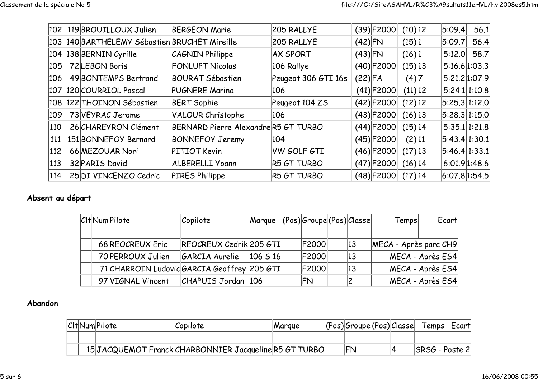|     | 102 119 BROUILLOUX Julien                     | <b>BERGEON Marie</b>                | 205 RALLYE          |           | $(39)$ F2000 | (10) 12    | 5:09.4        | 56.1 |
|-----|-----------------------------------------------|-------------------------------------|---------------------|-----------|--------------|------------|---------------|------|
|     | 103 140 BARTHELEMY Sébastien BRUCHET Mireille |                                     | 205 RALLYE          | $(42)$ FN |              | (15) 1     | 5:09.7        | 56.4 |
|     | $ 104 $ 138 BERNIN Cyrille                    | CAGNIN Philippe                     | <b>AX SPORT</b>     | $(43)$ FN |              | (16) 1     | 5:12.0        | 58.7 |
| 105 | 72 LEBON Boris                                | <b>FONLUPT Nicolas</b>              | 106 Rallye          |           | $(40)$ F2000 | $(15)$  13 | 5:16.6 1:03.3 |      |
| 106 | 49 BONTEMPS Bertrand                          | <b>BOURAT Sébastien</b>             | Peugeot 306 GTI 16s | (22) FA   |              | (4) 7      | 5:21.2 1:07.9 |      |
|     | 107 120 COURRIOL Pascal                       | <b>PUGNERE Marina</b>               | 106                 |           | $(41)$ F2000 | (11) 12    | 5:24.1 1:10.8 |      |
|     | 108 122 THOINON Sébastien                     | <b>BERT Sophie</b>                  | Peugeot 104 ZS      |           | $(42)$ F2000 | $(12)$  12 | 5:25.3 1:12.0 |      |
| 109 | 73 VEYRAC Jerome                              | VALOUR Christophe                   | 106                 |           | $(43)$ F2000 | $(16)$  13 | 5:28.3 1:15.0 |      |
| 110 | 26 CHAREYRON Clément                          | BERNARD Pierre AlexandreR5 GT TURBO |                     |           | $(44)$ F2000 | (15) 14    | 5:35.1 1:21.8 |      |
| 111 | 151 BONNEFOY Bernard                          | <b>BONNEFOY Jeremy</b>              | 104                 |           | $(45)$ F2000 | (2) 11     | 5:43.4 1:30.1 |      |
| 112 | 66 MEZOUAR Nori                               | PITIOT Kevin                        | <b>VW GOLF GTI</b>  |           | $(46)$ F2000 | $(17)$  13 | 5:46.4 1:33.1 |      |
| 113 | 32 PARIS David                                | ALBERELLI Yoann                     | R5 GT TURBO         |           | $(47)$ F2000 | $(16)$  14 | 6:01.9 1:48.6 |      |
| 114 | 25 DI VINCENZO Cedric                         | PIRES Philippe                      | R5 GT TURBO         |           | $(48)$ F2000 | (17) 14    | 6:07.8 1:54.5 |      |

## Absent au départ

|  | C <sub>I</sub> t Num Pilote                 | Copilote                      | Margue | $ (\text{Pos}) \text{Groupe} (\text{Pos}) \text{Classe} $ |              | Temps                 | Ecart                |
|--|---------------------------------------------|-------------------------------|--------|-----------------------------------------------------------|--------------|-----------------------|----------------------|
|  |                                             |                               |        |                                                           |              |                       |                      |
|  | 68 REOCREUX Eric                            | REOCREUX Cedrik 205 GTI       |        | <b>F2000</b>                                              | 13           | MECA - Après parc CH9 |                      |
|  | 70 PERROUX Julien                           | $ GARCIA$ Aurelie $ 106 S16 $ |        | <b>F2000</b>                                              | $ 13\rangle$ |                       | $MECA -$ Après $ES4$ |
|  | 71 CHARROIN Ludovic GARCIA Geoffrey 205 GTI |                               |        | <b>F2000</b>                                              | 13           |                       | $MECA -$ Après $ES4$ |
|  | 97 VIGNAL Vincent                           | $ CHAPUIS$ Jordan $ 106$      |        | FN                                                        |              |                       | $MECA -$ Après $ES4$ |

## Abandon

|  | CItNumPilote | Copilote                                              | <i>Marque</i> | (Pos) Groupe (Pos) Classe |                  | Temps             | Ecart |
|--|--------------|-------------------------------------------------------|---------------|---------------------------|------------------|-------------------|-------|
|  |              |                                                       |               |                           |                  |                   |       |
|  |              | 15JACQUEMOT Franck CHARBONNIER Jacqueline R5 GT TURBO |               | <b>FN</b>                 | $\boldsymbol{A}$ | $ SRSG - Poste2 $ |       |